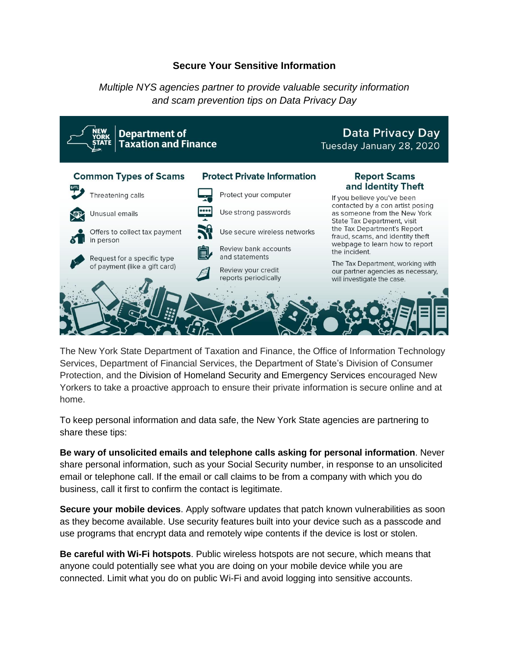## **Secure Your Sensitive Information**

*Multiple NYS agencies partner to provide valuable security information and scam prevention tips on Data Privacy Day*



The New York State Department of Taxation and Finance, the Office of Information Technology Services, Department of Financial Services, the Department of State's Division of Consumer Protection, and the Division of Homeland Security and Emergency Services encouraged New Yorkers to take a proactive approach to ensure their private information is secure online and at home.

To keep personal information and data safe, the New York State agencies are partnering to share these tips:

**Be wary of unsolicited emails and telephone calls asking for personal information**. Never share personal information, such as your Social Security number, in response to an unsolicited email or telephone call. If the email or call claims to be from a company with which you do business, call it first to confirm the contact is legitimate.

**Secure your mobile devices**. Apply software updates that patch known vulnerabilities as soon as they become available. Use security features built into your device such as a passcode and use programs that encrypt data and remotely wipe contents if the device is lost or stolen.

**Be careful with Wi-Fi hotspots**. Public wireless hotspots are not secure, which means that anyone could potentially see what you are doing on your mobile device while you are connected. Limit what you do on public Wi-Fi and avoid logging into sensitive accounts.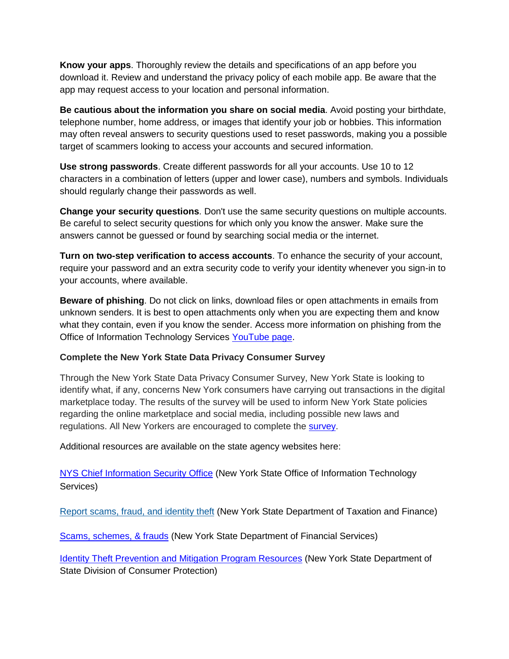**Know your apps**. Thoroughly review the details and specifications of an app before you download it. Review and understand the privacy policy of each mobile app. Be aware that the app may request access to your location and personal information.

**Be cautious about the information you share on social media**. Avoid posting your birthdate, telephone number, home address, or images that identify your job or hobbies. This information may often reveal answers to security questions used to reset passwords, making you a possible target of scammers looking to access your accounts and secured information.

**Use strong passwords**. Create different passwords for all your accounts. Use 10 to 12 characters in a combination of letters (upper and lower case), numbers and symbols. Individuals should regularly change their passwords as well.

**Change your security questions**. Don't use the same security questions on multiple accounts. Be careful to select security questions for which only you know the answer. Make sure the answers cannot be guessed or found by searching social media or the internet.

**Turn on two-step verification to access accounts**. To enhance the security of your account, require your password and an extra security code to verify your identity whenever you sign-in to your accounts, where available.

**Beware of phishing**. Do not click on links, download files or open attachments in emails from unknown senders. It is best to open attachments only when you are expecting them and know what they contain, even if you know the sender. Access more information on phishing from the Office of Information Technology Services [YouTube page.](https://www.youtube.com/watch?v=OPqw3Uqe0Jo)

## **Complete the New York State Data Privacy Consumer Survey**

Through the New York State Data Privacy Consumer Survey, New York State is looking to identify what, if any, concerns New York consumers have carrying out transactions in the digital marketplace today. The results of the survey will be used to inform New York State policies regarding the online marketplace and social media, including possible new laws and regulations. All New Yorkers are encouraged to complete the [survey.](https://www.ny.gov/content/new-york-state-data-privacy-consumer-survey)

Additional resources are available on the state agency websites here:

[NYS Chief Information Security Office](https://its.ny.gov/ciso) (New York State Office of Information Technology Services)

[Report scams, fraud, and identity theft](https://tax.ny.gov/help/contact/fraud-scams-idtheft.htm) (New York State Department of Taxation and Finance)

[Scams, schemes, & frauds](https://www.dfs.ny.gov/consumers/scams_schemes_frauds) (New York State Department of Financial Services)

**[Identity Theft Prevention and Mitigation Program Resources](https://www.dos.ny.gov/consumerprotection/identity_theft/index.htm) (New York State Department of** State Division of Consumer Protection)